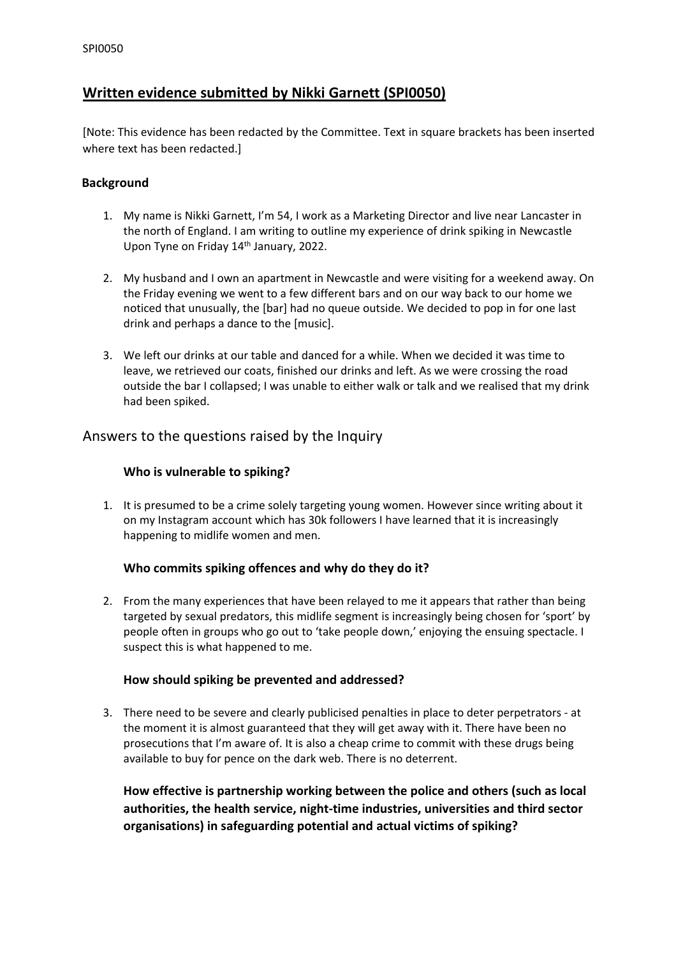# **Written evidence submitted by Nikki Garnett (SPI0050)**

[Note: This evidence has been redacted by the Committee. Text in square brackets has been inserted where text has been redacted.]

### **Background**

- 1. My name is Nikki Garnett, I'm 54, I work as a Marketing Director and live near Lancaster in the north of England. I am writing to outline my experience of drink spiking in Newcastle Upon Tyne on Friday 14<sup>th</sup> January, 2022.
- 2. My husband and I own an apartment in Newcastle and were visiting for a weekend away. On the Friday evening we went to a few different bars and on our way back to our home we noticed that unusually, the [bar] had no queue outside. We decided to pop in for one last drink and perhaps a dance to the [music].
- 3. We left our drinks at our table and danced for a while. When we decided it was time to leave, we retrieved our coats, finished our drinks and left. As we were crossing the road outside the bar I collapsed; I was unable to either walk or talk and we realised that my drink had been spiked.

### Answers to the questions raised by the Inquiry

### **Who is vulnerable to spiking?**

1. It is presumed to be a crime solely targeting young women. However since writing about it on my Instagram account which has 30k followers I have learned that it is increasingly happening to midlife women and men.

#### **Who commits spiking offences and why do they do it?**

2. From the many experiences that have been relayed to me it appears that rather than being targeted by sexual predators, this midlife segment is increasingly being chosen for 'sport' by people often in groups who go out to 'take people down,' enjoying the ensuing spectacle. I suspect this is what happened to me.

#### **How should spiking be prevented and addressed?**

3. There need to be severe and clearly publicised penalties in place to deter perpetrators - at the moment it is almost guaranteed that they will get away with it. There have been no prosecutions that I'm aware of. It is also a cheap crime to commit with these drugs being available to buy for pence on the dark web. There is no deterrent.

**How effective is partnership working between the police and others (such as local authorities, the health service, night-time industries, universities and third sector organisations) in safeguarding potential and actual victims of spiking?**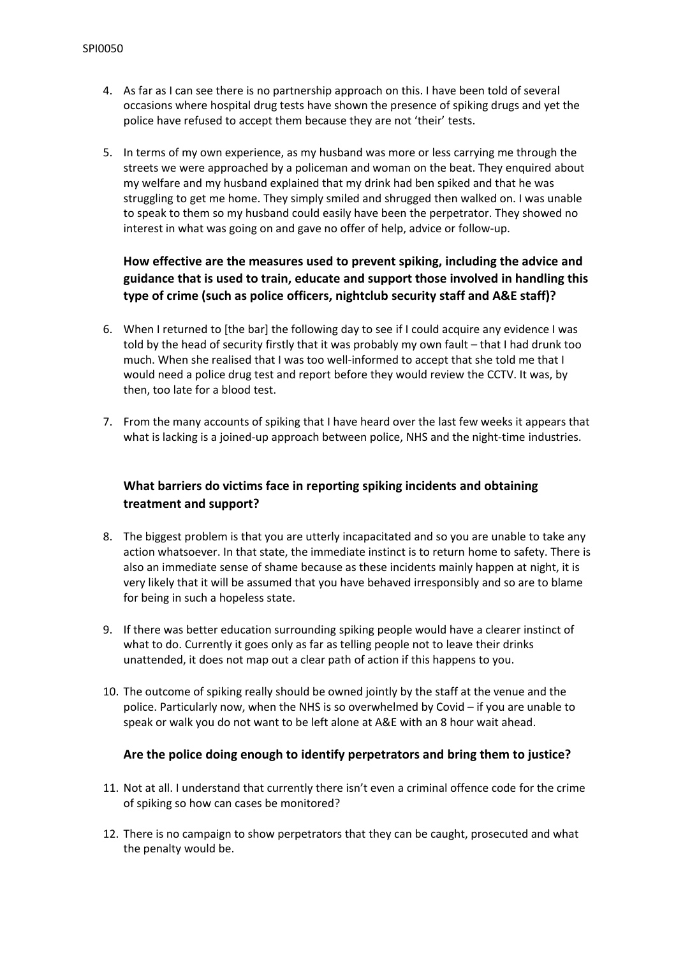- 4. As far as I can see there is no partnership approach on this. I have been told of several occasions where hospital drug tests have shown the presence of spiking drugs and yet the police have refused to accept them because they are not 'their' tests.
- 5. In terms of my own experience, as my husband was more or less carrying me through the streets we were approached by a policeman and woman on the beat. They enquired about my welfare and my husband explained that my drink had ben spiked and that he was struggling to get me home. They simply smiled and shrugged then walked on. I was unable to speak to them so my husband could easily have been the perpetrator. They showed no interest in what was going on and gave no offer of help, advice or follow-up.

## **How effective are the measures used to prevent spiking, including the advice and guidance that is used to train, educate and support those involved in handling this type of crime (such as police officers, nightclub security staff and A&E staff)?**

- 6. When I returned to [the bar] the following day to see if I could acquire any evidence I was told by the head of security firstly that it was probably my own fault – that I had drunk too much. When she realised that I was too well-informed to accept that she told me that I would need a police drug test and report before they would review the CCTV. It was, by then, too late for a blood test.
- 7. From the many accounts of spiking that I have heard over the last few weeks it appears that what is lacking is a joined-up approach between police, NHS and the night-time industries.

### **What barriers do victims face in reporting spiking incidents and obtaining treatment and support?**

- 8. The biggest problem is that you are utterly incapacitated and so you are unable to take any action whatsoever. In that state, the immediate instinct is to return home to safety. There is also an immediate sense of shame because as these incidents mainly happen at night, it is very likely that it will be assumed that you have behaved irresponsibly and so are to blame for being in such a hopeless state.
- 9. If there was better education surrounding spiking people would have a clearer instinct of what to do. Currently it goes only as far as telling people not to leave their drinks unattended, it does not map out a clear path of action if this happens to you.
- 10. The outcome of spiking really should be owned jointly by the staff at the venue and the police. Particularly now, when the NHS is so overwhelmed by Covid – if you are unable to speak or walk you do not want to be left alone at A&E with an 8 hour wait ahead.

#### **Are the police doing enough to identify perpetrators and bring them to justice?**

- 11. Not at all. I understand that currently there isn't even a criminal offence code for the crime of spiking so how can cases be monitored?
- 12. There is no campaign to show perpetrators that they can be caught, prosecuted and what the penalty would be.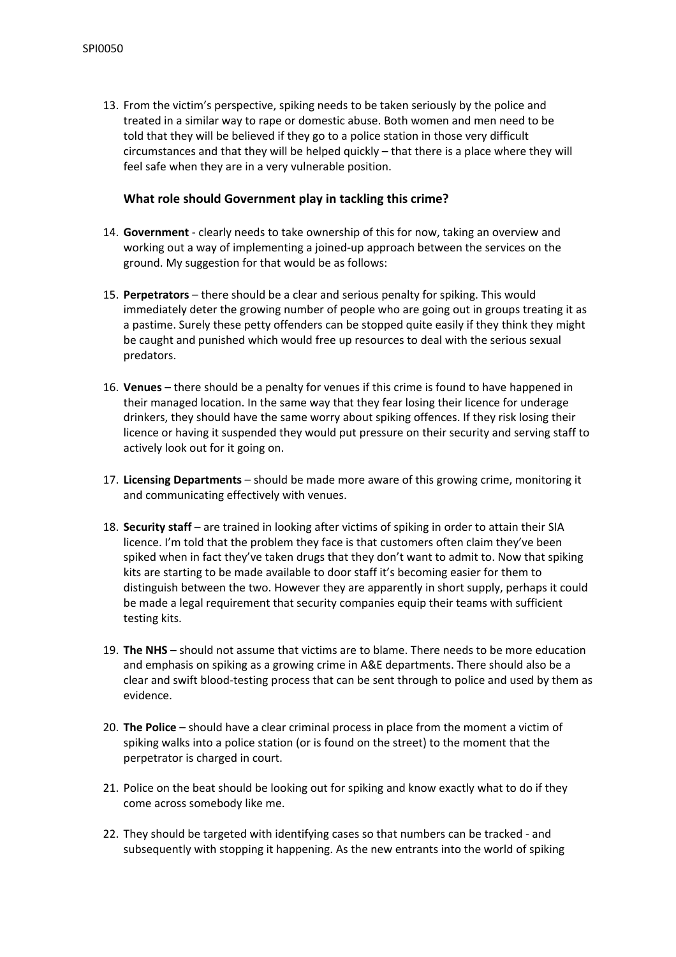13. From the victim's perspective, spiking needs to be taken seriously by the police and treated in a similar way to rape or domestic abuse. Both women and men need to be told that they will be believed if they go to a police station in those very difficult circumstances and that they will be helped quickly – that there is a place where they will feel safe when they are in a very vulnerable position.

#### **What role should Government play in tackling this crime?**

- 14. **Government** clearly needs to take ownership of this for now, taking an overview and working out a way of implementing a joined-up approach between the services on the ground. My suggestion for that would be as follows:
- 15. **Perpetrators** there should be a clear and serious penalty for spiking. This would immediately deter the growing number of people who are going out in groups treating it as a pastime. Surely these petty offenders can be stopped quite easily if they think they might be caught and punished which would free up resources to deal with the serious sexual predators.
- 16. **Venues** there should be a penalty for venues if this crime is found to have happened in their managed location. In the same way that they fear losing their licence for underage drinkers, they should have the same worry about spiking offences. If they risk losing their licence or having it suspended they would put pressure on their security and serving staff to actively look out for it going on.
- 17. **Licensing Departments** should be made more aware of this growing crime, monitoring it and communicating effectively with venues.
- 18. **Security staff** are trained in looking after victims of spiking in order to attain their SIA licence. I'm told that the problem they face is that customers often claim they've been spiked when in fact they've taken drugs that they don't want to admit to. Now that spiking kits are starting to be made available to door staff it's becoming easier for them to distinguish between the two. However they are apparently in short supply, perhaps it could be made a legal requirement that security companies equip their teams with sufficient testing kits.
- 19. **The NHS** should not assume that victims are to blame. There needs to be more education and emphasis on spiking as a growing crime in A&E departments. There should also be a clear and swift blood-testing process that can be sent through to police and used by them as evidence.
- 20. **The Police** should have a clear criminal process in place from the moment a victim of spiking walks into a police station (or is found on the street) to the moment that the perpetrator is charged in court.
- 21. Police on the beat should be looking out for spiking and know exactly what to do if they come across somebody like me.
- 22. They should be targeted with identifying cases so that numbers can be tracked and subsequently with stopping it happening. As the new entrants into the world of spiking